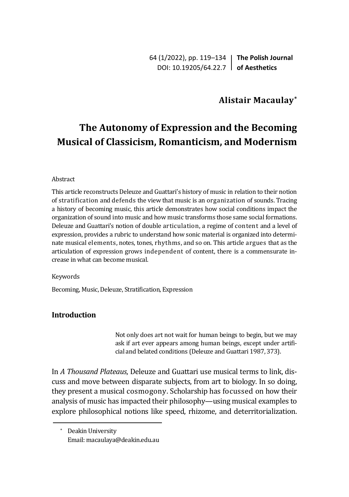64 (1/2022), pp. 119–134 **The Polish Journal** DOI: 10.19205/64.22.7 **of Aesthetics**

## **Alistair Macaulay\***

# **The Autonomy of Expression and the Becoming Musical of Classicism, Romanticism, and Modernism**

#### Abstract

This article reconstructs Deleuze and Guattari's history of music in relation to their notion of stratification and defends the view that music is an organization of sounds. Tracing a history of becoming music, this article demonstrates how social conditions impact the organization of sound into music and how music transforms those same social formations. Deleuze and Guattari's notion of double articulation, a regime of content and a level of expression, provides a rubric to understand how sonic material is organized into determinate musical elements, notes, tones, rhythms, and so on. This article argues that as the articulation of expression grows independent of content, there is a commensurate increase in what can become musical.

#### Keywords

Becoming, Music, Deleuze, Stratification, Expression

## **Introduction**

Not only does art not wait for human beings to begin, but we may ask if art ever appears among human beings, except under artificial and belated conditions (Deleuze and Guattari 1987, 373).

In *A Thousand Plateaus*, Deleuze and Guattari use musical terms to link, discuss and move between disparate subjects, from art to biology. In so doing, they present a musical cosmogony. Scholarship has focussed on how their analysis of music has impacted their philosophy—using musical examples to explore philosophical notions like speed, rhizome, and deterritorialization.

<sup>\*</sup> Deakin University Email: macaulaya@deakin.edu.au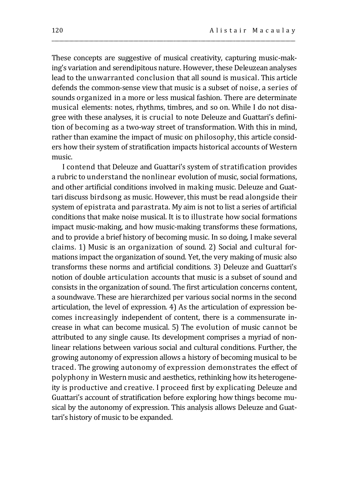These concepts are suggestive of musical creativity, capturing music-making's variation and serendipitous nature. However, these Deleuzean analyses lead to the unwarranted conclusion that all sound is musical. This article defends the common-sense view that music is a subset of noise, a series of sounds organized in a more or less musical fashion. There are determinate musical elements: notes, rhythms, timbres, and so on. While I do not disagree with these analyses, it is crucial to note Deleuze and Guattari's definition of becoming as a two-way street of transformation. With this in mind, rather than examine the impact of music on philosophy, this article considers how their system of stratification impacts historical accounts of Western music.

\_\_\_\_\_\_\_\_\_\_\_\_\_\_\_\_\_\_\_\_\_\_\_\_\_\_\_\_\_\_\_\_\_\_\_\_\_\_\_\_\_\_\_\_\_\_\_\_\_\_\_\_\_\_\_\_\_\_\_\_\_\_\_\_\_\_\_\_\_\_\_\_\_\_\_\_\_\_\_\_\_\_\_\_\_\_\_\_\_\_\_\_\_\_\_\_\_\_

I contend that Deleuze and Guattari's system of stratification provides a rubric to understand the nonlinear evolution of music, social formations, and other artificial conditions involved in making music. Deleuze and Guattari discuss birdsong as music. However, this must be read alongside their system of epistrata and parastrata. My aim is not to list a series of artificial conditions that make noise musical. It is to illustrate how social formations impact music-making, and how music-making transforms these formations, and to provide a brief history of becoming music. In so doing, I make several claims. 1) Music is an organization of sound. 2) Social and cultural formations impact the organization of sound. Yet, the very making of music also transforms these norms and artificial conditions. 3) Deleuze and Guattari's notion of double articulation accounts that music is a subset of sound and consists in the organization of sound. The first articulation concerns content, a soundwave. These are hierarchized per various social norms in the second articulation, the level of expression. 4) As the articulation of expression becomes increasingly independent of content, there is a commensurate increase in what can become musical. 5) The evolution of music cannot be attributed to any single cause. Its development comprises a myriad of nonlinear relations between various social and cultural conditions. Further, the growing autonomy of expression allows a history of becoming musical to be traced. The growing autonomy of expression demonstrates the effect of polyphony in Western music and aesthetics, rethinking how its heterogeneity is productive and creative. I proceed first by explicating Deleuze and Guattari's account of stratification before exploring how things become musical by the autonomy of expression. This analysis allows Deleuze and Guattari's history of music to be expanded.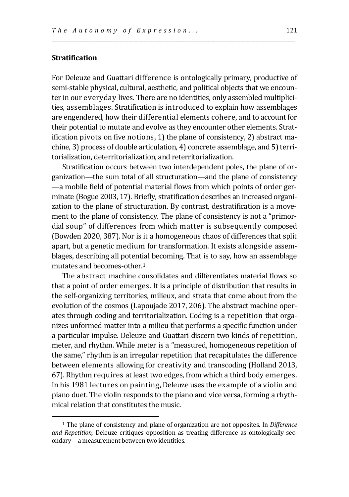## **Stratification**

For Deleuze and Guattari difference is ontologically primary, productive of semi-stable physical, cultural, aesthetic, and political objects that we encounter in our everyday lives. There are no identities, only assembled multiplicities, assemblages. Stratification is introduced to explain how assemblages are engendered, how their differential elements cohere, and to account for their potential to mutate and evolve as they encounter other elements. Stratification pivots on five notions, 1) the plane of consistency, 2) abstract machine, 3) process of double articulation, 4) concrete assemblage, and 5) territorialization, deterritorialization, and reterritorialization.

\_\_\_\_\_\_\_\_\_\_\_\_\_\_\_\_\_\_\_\_\_\_\_\_\_\_\_\_\_\_\_\_\_\_\_\_\_\_\_\_\_\_\_\_\_\_\_\_\_\_\_\_\_\_\_\_\_\_\_\_\_\_\_\_\_\_\_\_\_\_\_\_\_\_\_\_\_\_\_\_\_\_\_\_\_\_\_\_\_\_\_\_\_\_\_\_\_\_

Stratification occurs between two interdependent poles, the plane of organization—the sum total of all structuration—and the plane of consistency —a mobile field of potential material flows from which points of order germinate (Bogue 2003, 17). Briefly, stratification describes an increased organization to the plane of structuration. By contrast, destratification is a movement to the plane of consistency. The plane of consistency is not a "primordial soup" of differences from which matter is subsequently composed (Bowden 2020, 387). Nor is it a homogeneous chaos of differences that split apart, but a genetic medium for transformation. It exists alongside assemblages, describing all potential becoming. That is to say, how an assemblage mutates and becomes-other.<sup>1</sup>

The abstract machine consolidates and differentiates material flows so that a point of order emerges. It is a principle of distribution that results in the self-organizing territories, milieux, and strata that come about from the evolution of the cosmos (Lapoujade 2017, 206). The abstract machine operates through coding and territorialization. Coding is a repetition that organizes unformed matter into a milieu that performs a specific function under a particular impulse. Deleuze and Guattari discern two kinds of repetition, meter, and rhythm. While meter is a "measured, homogeneous repetition of the same," rhythm is an irregular repetition that recapitulates the difference between elements allowing for creativity and transcoding (Holland 2013, 67). Rhythm requires at least two edges, from which a third body emerges. In his 1981 lectures on painting, Deleuze uses the example of a violin and piano duet. The violin responds to the piano and vice versa, forming a rhythmical relation that constitutes the music.

<sup>1</sup> The plane of consistency and plane of organization are not opposites. In *Difference and Repetition,* Deleuze critiques opposition as treating difference as ontologically secondary—a measurement between two identities.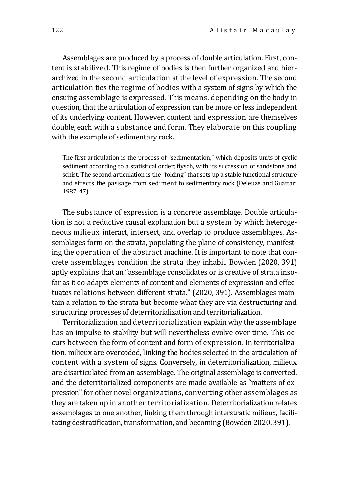Assemblages are produced by a process of double articulation. First, content is stabilized. This regime of bodies is then further organized and hierarchized in the second articulation at the level of expression. The second articulation ties the regime of bodies with a system of signs by which the ensuing assemblage is expressed. This means, depending on the body in question, that the articulation of expression can be more or less independent of its underlying content. However, content and expression are themselves double, each with a substance and form. They elaborate on this coupling with the example of sedimentary rock.

\_\_\_\_\_\_\_\_\_\_\_\_\_\_\_\_\_\_\_\_\_\_\_\_\_\_\_\_\_\_\_\_\_\_\_\_\_\_\_\_\_\_\_\_\_\_\_\_\_\_\_\_\_\_\_\_\_\_\_\_\_\_\_\_\_\_\_\_\_\_\_\_\_\_\_\_\_\_\_\_\_\_\_\_\_\_\_\_\_\_\_\_\_\_\_\_\_\_

The first articulation is the process of "sedimentation," which deposits units of cyclic sediment according to a statistical order; flysch, with its succession of sandstone and schist. The second articulation is the "folding" that sets up a stable functional structure and effects the passage from sediment to sedimentary rock (Deleuze and Guattari 1987, 47).

The substance of expression is a concrete assemblage. Double articulation is not a reductive causal explanation but a system by which heterogeneous milieux interact, intersect, and overlap to produce assemblages. Assemblages form on the strata, populating the plane of consistency, manifesting the operation of the abstract machine. It is important to note that concrete assemblages condition the strata they inhabit. Bowden (2020, 391) aptly explains that an "assemblage consolidates or is creative of strata insofar as it co-adapts elements of content and elements of expression and effectuates relations between different strata." (2020, 391). Assemblages maintain a relation to the strata but become what they are via destructuring and structuring processes of deterritorialization and territorialization.

Territorialization and deterritorialization explain why the assemblage has an impulse to stability but will nevertheless evolve over time. This occurs between the form of content and form of expression. In territorialization, milieux are overcoded, linking the bodies selected in the articulation of content with a system of signs. Conversely, in deterritorialization, milieux are disarticulated from an assemblage. The original assemblage is converted, and the deterritorialized components are made available as "matters of expression" for other novel organizations, converting other assemblages as they are taken up in another territorialization. Deterritorialization relates assemblages to one another, linking them through interstratic milieux, facilitating destratification, transformation, and becoming (Bowden 2020, 391).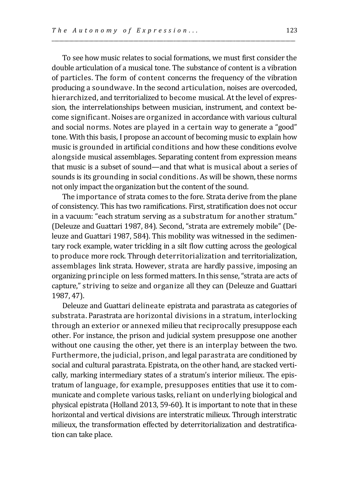To see how music relates to social formations, we must first consider the double articulation of a musical tone. The substance of content is a vibration of particles. The form of content concerns the frequency of the vibration producing a soundwave. In the second articulation, noises are overcoded, hierarchized, and territorialized to become musical. At the level of expression, the interrelationships between musician, instrument, and context become significant. Noises are organized in accordance with various cultural and social norms. Notes are played in a certain way to generate a "good" tone. With this basis, I propose an account of becoming music to explain how music is grounded in artificial conditions and how these conditions evolve alongside musical assemblages. Separating content from expression means that music is a subset of sound—and that what is musical about a series of sounds is its grounding in social conditions. As will be shown, these norms not only impact the organization but the content of the sound.

\_\_\_\_\_\_\_\_\_\_\_\_\_\_\_\_\_\_\_\_\_\_\_\_\_\_\_\_\_\_\_\_\_\_\_\_\_\_\_\_\_\_\_\_\_\_\_\_\_\_\_\_\_\_\_\_\_\_\_\_\_\_\_\_\_\_\_\_\_\_\_\_\_\_\_\_\_\_\_\_\_\_\_\_\_\_\_\_\_\_\_\_\_\_\_\_\_\_

The importance of strata comes to the fore. Strata derive from the plane of consistency. This has two ramifications. First, stratification does not occur in a vacuum: "each stratum serving as a substratum for another stratum." (Deleuze and Guattari 1987, 84). Second, "strata are extremely mobile" (Deleuze and Guattari 1987, 584). This mobility was witnessed in the sedimentary rock example, water trickling in a silt flow cutting across the geological to produce more rock. Through deterritorialization and territorialization, assemblages link strata. However, strata are hardly passive, imposing an organizing principle on less formed matters. In this sense, "strata are acts of capture," striving to seize and organize all they can (Deleuze and Guattari 1987, 47).

Deleuze and Guattari delineate epistrata and parastrata as categories of substrata. Parastrata are horizontal divisions in a stratum, interlocking through an exterior or annexed milieu that reciprocally presuppose each other. For instance, the prison and judicial system presuppose one another without one causing the other, yet there is an interplay between the two. Furthermore, the judicial, prison, and legal parastrata are conditioned by social and cultural parastrata. Epistrata, on the other hand, are stacked vertically, marking intermediary states of a stratum's interior milieux. The epistratum of language, for example, presupposes entities that use it to communicate and complete various tasks, reliant on underlying biological and physical epistrata (Holland 2013, 59-60). It is important to note that in these horizontal and vertical divisions are interstratic milieux. Through interstratic milieux, the transformation effected by deterritorialization and destratification can take place.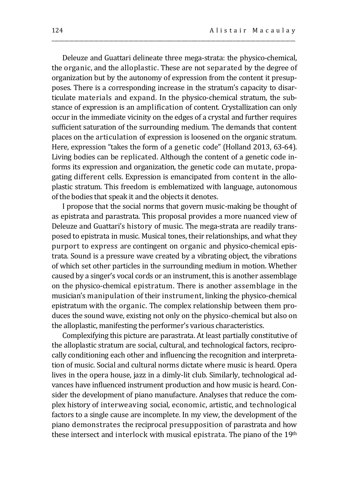Deleuze and Guattari delineate three mega-strata: the physico-chemical, the organic, and the alloplastic. These are not separated by the degree of organization but by the autonomy of expression from the content it presupposes. There is a corresponding increase in the stratum's capacity to disarticulate materials and expand. In the physico-chemical stratum, the substance of expression is an amplification of content. Crystallization can only occur in the immediate vicinity on the edges of a crystal and further requires sufficient saturation of the surrounding medium. The demands that content places on the articulation of expression is loosened on the organic stratum. Here, expression "takes the form of a genetic code" (Holland 2013, 63-64). Living bodies can be replicated. Although the content of a genetic code informs its expression and organization, the genetic code can mutate, propagating different cells. Expression is emancipated from content in the alloplastic stratum. This freedom is emblematized with language, autonomous of the bodies that speak it and the objects it denotes.

\_\_\_\_\_\_\_\_\_\_\_\_\_\_\_\_\_\_\_\_\_\_\_\_\_\_\_\_\_\_\_\_\_\_\_\_\_\_\_\_\_\_\_\_\_\_\_\_\_\_\_\_\_\_\_\_\_\_\_\_\_\_\_\_\_\_\_\_\_\_\_\_\_\_\_\_\_\_\_\_\_\_\_\_\_\_\_\_\_\_\_\_\_\_\_\_\_\_

I propose that the social norms that govern music-making be thought of as epistrata and parastrata. This proposal provides a more nuanced view of Deleuze and Guattari's history of music. The mega-strata are readily transposed to epistrata in music. Musical tones, their relationships, and what they purport to express are contingent on organic and physico-chemical epistrata. Sound is a pressure wave created by a vibrating object, the vibrations of which set other particles in the surrounding medium in motion. Whether caused by a singer's vocal cords or an instrument, this is another assemblage on the physico-chemical epistratum. There is another assemblage in the musician's manipulation of their instrument, linking the physico-chemical epistratum with the organic. The complex relationship between them produces the sound wave, existing not only on the physico-chemical but also on the alloplastic, manifesting the performer's various characteristics.

Complexifying this picture are parastrata. At least partially constitutive of the alloplastic stratum are social, cultural, and technological factors, reciprocally conditioning each other and influencing the recognition and interpretation of music. Social and cultural norms dictate where music is heard. Opera lives in the opera house, jazz in a dimly-lit club. Similarly, technological advances have influenced instrument production and how music is heard. Consider the development of piano manufacture. Analyses that reduce the complex history of interweaving social, economic, artistic, and technological factors to a single cause are incomplete. In my view, the development of the piano demonstrates the reciprocal presupposition of parastrata and how these intersect and interlock with musical epistrata. The piano of the 19<sup>th</sup>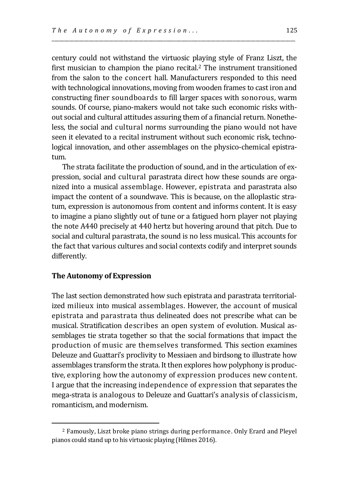century could not withstand the virtuosic playing style of Franz Liszt, the first musician to champion the piano recital.<sup>2</sup> The instrument transitioned from the salon to the concert hall. Manufacturers responded to this need with technological innovations, moving from wooden frames to cast iron and constructing finer soundboards to fill larger spaces with sonorous, warm sounds. Of course, piano-makers would not take such economic risks without social and cultural attitudes assuring them of a financial return. Nonetheless, the social and cultural norms surrounding the piano would not have seen it elevated to a recital instrument without such economic risk, technological innovation, and other assemblages on the physico-chemical epistratum.

\_\_\_\_\_\_\_\_\_\_\_\_\_\_\_\_\_\_\_\_\_\_\_\_\_\_\_\_\_\_\_\_\_\_\_\_\_\_\_\_\_\_\_\_\_\_\_\_\_\_\_\_\_\_\_\_\_\_\_\_\_\_\_\_\_\_\_\_\_\_\_\_\_\_\_\_\_\_\_\_\_\_\_\_\_\_\_\_\_\_\_\_\_\_\_\_\_\_

The strata facilitate the production of sound, and in the articulation of expression, social and cultural parastrata direct how these sounds are organized into a musical assemblage. However, epistrata and parastrata also impact the content of a soundwave. This is because, on the alloplastic stratum, expression is autonomous from content and informs content. It is easy to imagine a piano slightly out of tune or a fatigued horn player not playing the note A440 precisely at 440 hertz but hovering around that pitch. Due to social and cultural parastrata, the sound is no less musical. This accounts for the fact that various cultures and social contexts codify and interpret sounds differently.

### **The Autonomy of Expression**

The last section demonstrated how such epistrata and parastrata territorialized milieux into musical assemblages. However, the account of musical epistrata and parastrata thus delineated does not prescribe what can be musical. Stratification describes an open system of evolution. Musical assemblages tie strata together so that the social formations that impact the production of music are themselves transformed. This section examines Deleuze and Guattari's proclivity to Messiaen and birdsong to illustrate how assemblages transform the strata. It then explores how polyphony is productive, exploring how the autonomy of expression produces new content. I argue that the increasing independence of expression that separates the mega-strata is analogous to Deleuze and Guattari's analysis of classicism, romanticism, and modernism.

<sup>2</sup> Famously, Liszt broke piano strings during performance. Only Erard and Pleyel pianos could stand up to his virtuosic playing (Hilmes 2016).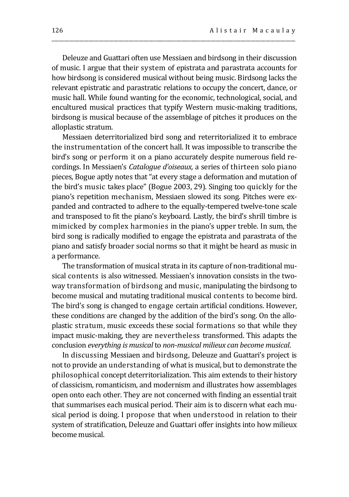Deleuze and Guattari often use Messiaen and birdsong in their discussion of music. I argue that their system of epistrata and parastrata accounts for how birdsong is considered musical without being music. Birdsong lacks the relevant epistratic and parastratic relations to occupy the concert, dance, or music hall. While found wanting for the economic, technological, social, and encultured musical practices that typify Western music-making traditions, birdsong is musical because of the assemblage of pitches it produces on the alloplastic stratum.

\_\_\_\_\_\_\_\_\_\_\_\_\_\_\_\_\_\_\_\_\_\_\_\_\_\_\_\_\_\_\_\_\_\_\_\_\_\_\_\_\_\_\_\_\_\_\_\_\_\_\_\_\_\_\_\_\_\_\_\_\_\_\_\_\_\_\_\_\_\_\_\_\_\_\_\_\_\_\_\_\_\_\_\_\_\_\_\_\_\_\_\_\_\_\_\_\_\_

Messiaen deterritorialized bird song and reterritorialized it to embrace the instrumentation of the concert hall. It was impossible to transcribe the bird's song or perform it on a piano accurately despite numerous field recordings. In Messiaen's *Catalogue d'oiseaux,* a series of thirteen solo piano pieces, Bogue aptly notes that "at every stage a deformation and mutation of the bird's music takes place" (Bogue 2003, 29). Singing too quickly for the piano's repetition mechanism, Messiaen slowed its song. Pitches were expanded and contracted to adhere to the equally-tempered twelve-tone scale and transposed to fit the piano's keyboard. Lastly, the bird's shrill timbre is mimicked by complex harmonies in the piano's upper treble. In sum, the bird song is radically modified to engage the epistrata and parastrata of the piano and satisfy broader social norms so that it might be heard as music in a performance.

The transformation of musical strata in its capture of non-traditional musical contents is also witnessed. Messiaen's innovation consists in the twoway transformation of birdsong and music, manipulating the birdsong to become musical and mutating traditional musical contents to become bird. The bird's song is changed to engage certain artificial conditions. However, these conditions are changed by the addition of the bird's song. On the alloplastic stratum, music exceeds these social formations so that while they impact music-making, they are nevertheless transformed. This adapts the conclusion *everything is musical* to *non-musical milieux can become musical*.

In discussing Messiaen and birdsong, Deleuze and Guattari's project is not to provide an understanding of what is musical, but to demonstrate the philosophical concept deterritorialization. This aim extends to their history of classicism, romanticism, and modernism and illustrates how assemblages open onto each other. They are not concerned with finding an essential trait that summarises each musical period. Their aim is to discern what each musical period is doing. I propose that when understood in relation to their system of stratification, Deleuze and Guattari offer insights into how milieux become musical.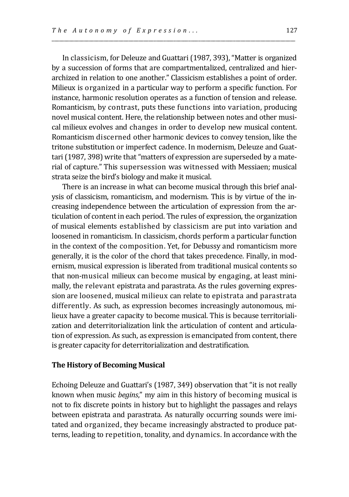In classicism, for Deleuze and Guattari (1987, 393), "Matter is organized by a succession of forms that are compartmentalized, centralized and hierarchized in relation to one another." Classicism establishes a point of order. Milieux is organized in a particular way to perform a specific function. For instance, harmonic resolution operates as a function of tension and release. Romanticism, by contrast, puts these functions into variation, producing novel musical content. Here, the relationship between notes and other musical milieux evolves and changes in order to develop new musical content. Romanticism discerned other harmonic devices to convey tension, like the tritone substitution or imperfect cadence. In modernism, Deleuze and Guattari (1987, 398) write that "matters of expression are superseded by a material of capture." This supersession was witnessed with Messiaen; musical strata seize the bird's biology and make it musical.

\_\_\_\_\_\_\_\_\_\_\_\_\_\_\_\_\_\_\_\_\_\_\_\_\_\_\_\_\_\_\_\_\_\_\_\_\_\_\_\_\_\_\_\_\_\_\_\_\_\_\_\_\_\_\_\_\_\_\_\_\_\_\_\_\_\_\_\_\_\_\_\_\_\_\_\_\_\_\_\_\_\_\_\_\_\_\_\_\_\_\_\_\_\_\_\_\_\_

There is an increase in what can become musical through this brief analysis of classicism, romanticism, and modernism. This is by virtue of the increasing independence between the articulation of expression from the articulation of content in each period. The rules of expression, the organization of musical elements established by classicism are put into variation and loosened in romanticism. In classicism, chords perform a particular function in the context of the composition. Yet, for Debussy and romanticism more generally, it is the color of the chord that takes precedence. Finally, in modernism, musical expression is liberated from traditional musical contents so that non-musical milieux can become musical by engaging, at least minimally, the relevant epistrata and parastrata. As the rules governing expression are loosened, musical milieux can relate to epistrata and parastrata differently. As such, as expression becomes increasingly autonomous, milieux have a greater capacity to become musical. This is because territorialization and deterritorialization link the articulation of content and articulation of expression. As such, as expression is emancipated from content, there is greater capacity for deterritorialization and destratification.

#### **The History of Becoming Musical**

Echoing Deleuze and Guattari's (1987, 349) observation that "it is not really known when music *begins*," my aim in this history of becoming musical is not to fix discrete points in history but to highlight the passages and relays between epistrata and parastrata. As naturally occurring sounds were imitated and organized, they became increasingly abstracted to produce patterns, leading to repetition, tonality, and dynamics. In accordance with the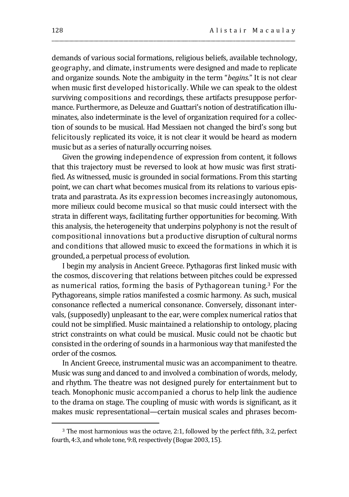demands of various social formations, religious beliefs, available technology, geography, and climate, instruments were designed and made to replicate and organize sounds. Note the ambiguity in the term "*begins*." It is not clear when music first developed historically. While we can speak to the oldest surviving compositions and recordings, these artifacts presuppose performance. Furthermore, as Deleuze and Guattari's notion of destratification illuminates, also indeterminate is the level of organization required for a collection of sounds to be musical. Had Messiaen not changed the bird's song but felicitously replicated its voice, it is not clear it would be heard as modern music but as a series of naturally occurring noises.

\_\_\_\_\_\_\_\_\_\_\_\_\_\_\_\_\_\_\_\_\_\_\_\_\_\_\_\_\_\_\_\_\_\_\_\_\_\_\_\_\_\_\_\_\_\_\_\_\_\_\_\_\_\_\_\_\_\_\_\_\_\_\_\_\_\_\_\_\_\_\_\_\_\_\_\_\_\_\_\_\_\_\_\_\_\_\_\_\_\_\_\_\_\_\_\_\_\_

Given the growing independence of expression from content, it follows that this trajectory must be reversed to look at how music was first stratified. As witnessed, music is grounded in social formations. From this starting point, we can chart what becomes musical from its relations to various epistrata and parastrata. As its expression becomes increasingly autonomous, more milieux could become musical so that music could intersect with the strata in different ways, facilitating further opportunities for becoming. With this analysis, the heterogeneity that underpins polyphony is not the result of compositional innovations but a productive disruption of cultural norms and conditions that allowed music to exceed the formations in which it is grounded, a perpetual process of evolution.

I begin my analysis in Ancient Greece. Pythagoras first linked music with the cosmos, discovering that relations between pitches could be expressed as numerical ratios, forming the basis of Pythagorean tuning. <sup>3</sup> For the Pythagoreans, simple ratios manifested a cosmic harmony. As such, musical consonance reflected a numerical consonance. Conversely, dissonant intervals, (supposedly) unpleasant to the ear, were complex numerical ratios that could not be simplified. Music maintained a relationship to ontology, placing strict constraints on what could be musical. Music could not be chaotic but consisted in the ordering of sounds in a harmonious way that manifested the order of the cosmos.

In Ancient Greece, instrumental music was an accompaniment to theatre. Music was sung and danced to and involved a combination of words, melody, and rhythm. The theatre was not designed purely for entertainment but to teach. Monophonic music accompanied a chorus to help link the audience to the drama on stage. The coupling of music with words is significant, as it makes music representational—certain musical scales and phrases becom-

<sup>3</sup> The most harmonious was the octave, 2:1, followed by the perfect fifth, 3:2, perfect fourth, 4:3, and whole tone, 9:8, respectively (Bogue 2003, 15).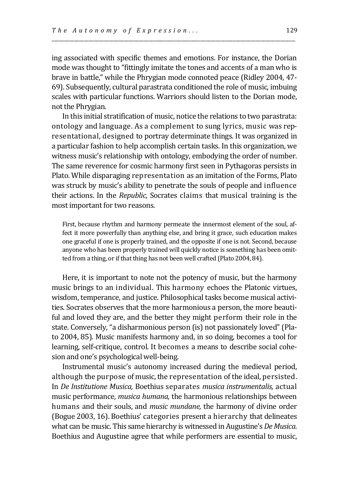ing associated with specific themes and emotions. For instance, the Dorian mode was thought to "fittingly imitate the tones and accents of a man who is brave in battle," while the Phrygian mode connoted peace (Ridley 2004, 47- 69). Subsequently, cultural parastrata conditioned the role of music, imbuing scales with particular functions. Warriors should listen to the Dorian mode, not the Phrygian.

\_\_\_\_\_\_\_\_\_\_\_\_\_\_\_\_\_\_\_\_\_\_\_\_\_\_\_\_\_\_\_\_\_\_\_\_\_\_\_\_\_\_\_\_\_\_\_\_\_\_\_\_\_\_\_\_\_\_\_\_\_\_\_\_\_\_\_\_\_\_\_\_\_\_\_\_\_\_\_\_\_\_\_\_\_\_\_\_\_\_\_\_\_\_\_\_\_\_

In this initial stratification of music, notice the relations to two parastrata: ontology and language. As a complement to sung lyrics, music was representational, designed to portray determinate things. It was organized in a particular fashion to help accomplish certain tasks. In this organization, we witness music's relationship with ontology, embodying the order of number. The same reverence for cosmic harmony first seen in Pythagoras persists in Plato. While disparaging representation as an imitation of the Forms, Plato was struck by music's ability to penetrate the souls of people and influence their actions. In the *Republic,* Socrates claims that musical training is the most important for two reasons.

First, because rhythm and harmony permeate the innermost element of the soul, affect it more powerfully than anything else, and bring it grace, such education makes one graceful if one is properly trained, and the opposite if one is not. Second, because anyone who has been properly trained will quickly notice is something has been omitted from a thing, or if that thing has not been well crafted (Plato 2004, 84).

Here, it is important to note not the potency of music, but the harmony music brings to an individual. This harmony echoes the Platonic virtues, wisdom, temperance, and justice. Philosophical tasks become musical activities. Socrates observes that the more harmonious a person, the more beautiful and loved they are, and the better they might perform their role in the state. Conversely, "a disharmonious person (is) not passionately loved" (Plato 2004, 85). Music manifests harmony and, in so doing, becomes a tool for learning, self-critique, control. It becomes a means to describe social cohesion and one's psychological well-being.

Instrumental music's autonomy increased during the medieval period, although the purpose of music, the representation of the ideal, persisted. In *De Institutione Musica,* Boethius separates *musica instrumentalis,* actual music performance, *musica humana,* the harmonious relationships between humans and their souls, and *music mundane,* the harmony of divine order (Bogue 2003, 16). Boethius' categories present a hierarchy that delineates what can be music. This same hierarchy is witnessed in Augustine's *De Musica.*  Boethius and Augustine agree that while performers are essential to music,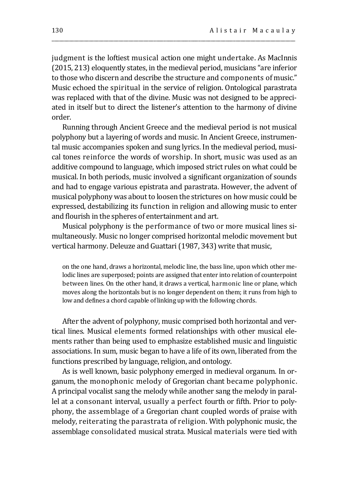judgment is the loftiest musical action one might undertake. As MacInnis (2015, 213) eloquently states, in the medieval period, musicians "are inferior to those who discern and describe the structure and components of music." Music echoed the spiritual in the service of religion. Ontological parastrata was replaced with that of the divine. Music was not designed to be appreciated in itself but to direct the listener's attention to the harmony of divine order.

\_\_\_\_\_\_\_\_\_\_\_\_\_\_\_\_\_\_\_\_\_\_\_\_\_\_\_\_\_\_\_\_\_\_\_\_\_\_\_\_\_\_\_\_\_\_\_\_\_\_\_\_\_\_\_\_\_\_\_\_\_\_\_\_\_\_\_\_\_\_\_\_\_\_\_\_\_\_\_\_\_\_\_\_\_\_\_\_\_\_\_\_\_\_\_\_\_\_

Running through Ancient Greece and the medieval period is not musical polyphony but a layering of words and music. In Ancient Greece, instrumental music accompanies spoken and sung lyrics. In the medieval period, musical tones reinforce the words of worship. In short, music was used as an additive compound to language, which imposed strict rules on what could be musical. In both periods, music involved a significant organization of sounds and had to engage various epistrata and parastrata. However, the advent of musical polyphony was about to loosen the strictures on how music could be expressed, destabilizing its function in religion and allowing music to enter and flourish in the spheres of entertainment and art.

Musical polyphony is the performance of two or more musical lines simultaneously. Music no longer comprised horizontal melodic movement but vertical harmony. Deleuze and Guattari (1987, 343) write that music,

on the one hand, draws a horizontal, melodic line, the bass line, upon which other melodic lines are superposed; points are assigned that enter into relation of counterpoint between lines. On the other hand, it draws a vertical, harmonic line or plane, which moves along the horizontals but is no longer dependent on them; it runs from high to low and defines a chord capable of linking up with the following chords.

After the advent of polyphony, music comprised both horizontal and vertical lines. Musical elements formed relationships with other musical elements rather than being used to emphasize established music and linguistic associations. In sum, music began to have a life of its own, liberated from the functions prescribed by language, religion, and ontology.

As is well known, basic polyphony emerged in medieval organum. In organum, the monophonic melody of Gregorian chant became polyphonic. A principal vocalist sang the melody while another sang the melody in parallel at a consonant interval, usually a perfect fourth or fifth. Prior to polyphony, the assemblage of a Gregorian chant coupled words of praise with melody, reiterating the parastrata of religion. With polyphonic music, the assemblage consolidated musical strata. Musical materials were tied with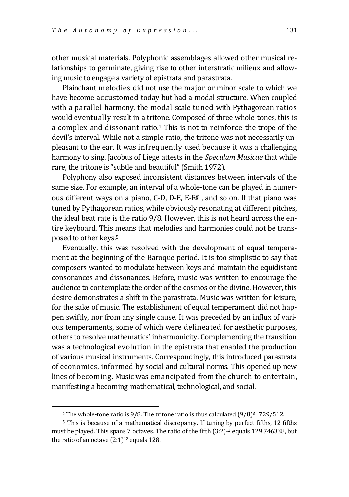other musical materials. Polyphonic assemblages allowed other musical relationships to germinate, giving rise to other interstratic milieux and allowing music to engage a variety of epistrata and parastrata.

\_\_\_\_\_\_\_\_\_\_\_\_\_\_\_\_\_\_\_\_\_\_\_\_\_\_\_\_\_\_\_\_\_\_\_\_\_\_\_\_\_\_\_\_\_\_\_\_\_\_\_\_\_\_\_\_\_\_\_\_\_\_\_\_\_\_\_\_\_\_\_\_\_\_\_\_\_\_\_\_\_\_\_\_\_\_\_\_\_\_\_\_\_\_\_\_\_\_

Plainchant melodies did not use the major or minor scale to which we have become accustomed today but had a modal structure. When coupled with a parallel harmony, the modal scale tuned with Pythagorean ratios would eventually result in a tritone. Composed of three whole-tones, this is a complex and dissonant ratio.<sup>4</sup> This is not to reinforce the trope of the devil's interval. While not a simple ratio, the tritone was not necessarily unpleasant to the ear. It was infrequently used because it was a challenging harmony to sing. Jacobus of Liege attests in the *Speculum Musicae* that while rare, the tritone is "subtle and beautiful" (Smith 1972).

Polyphony also exposed inconsistent distances between intervals of the same size. For example, an interval of a whole-tone can be played in numerous different ways on a piano, C-D, D-E, E-F♯ , and so on. If that piano was tuned by Pythagorean ratios, while obviously resonating at different pitches, the ideal beat rate is the ratio 9/8. However, this is not heard across the entire keyboard. This means that melodies and harmonies could not be transposed to other keys.<sup>5</sup>

Eventually, this was resolved with the development of equal temperament at the beginning of the Baroque period. It is too simplistic to say that composers wanted to modulate between keys and maintain the equidistant consonances and dissonances. Before, music was written to encourage the audience to contemplate the order of the cosmos or the divine. However, this desire demonstrates a shift in the parastrata. Music was written for leisure, for the sake of music. The establishment of equal temperament did not happen swiftly, nor from any single cause. It was preceded by an influx of various temperaments, some of which were delineated for aesthetic purposes, others to resolve mathematics' inharmonicity. Complementing the transition was a technological evolution in the epistrata that enabled the production of various musical instruments. Correspondingly, this introduced parastrata of economics, informed by social and cultural norms. This opened up new lines of becoming. Music was emancipated from the church to entertain, manifesting a becoming-mathematical, technological, and social.

<sup>4</sup> The whole-tone ratio is 9/8. The tritone ratio is thus calculated (9/8)3=729/512.

<sup>5</sup> This is because of a mathematical discrepancy. If tuning by perfect fifths, 12 fifths must be played. This spans 7 octaves. The ratio of the fifth  $(3:2)^{12}$  equals 129.746338, but the ratio of an octave  $(2:1)^{12}$  equals 128.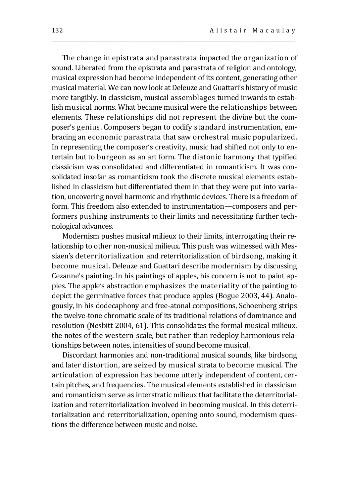The change in epistrata and parastrata impacted the organization of sound. Liberated from the epistrata and parastrata of religion and ontology, musical expression had become independent of its content, generating other musical material. We can now look at Deleuze and Guattari's history of music more tangibly. In classicism, musical assemblages turned inwards to establish musical norms. What became musical were the relationships between elements. These relationships did not represent the divine but the composer's genius. Composers began to codify standard instrumentation, embracing an economic parastrata that saw orchestral music popularized. In representing the composer's creativity, music had shifted not only to entertain but to burgeon as an art form. The diatonic harmony that typified classicism was consolidated and differentiated in romanticism. It was consolidated insofar as romanticism took the discrete musical elements established in classicism but differentiated them in that they were put into variation, uncovering novel harmonic and rhythmic devices. There is a freedom of form. This freedom also extended to instrumentation—composers and performers pushing instruments to their limits and necessitating further technological advances.

\_\_\_\_\_\_\_\_\_\_\_\_\_\_\_\_\_\_\_\_\_\_\_\_\_\_\_\_\_\_\_\_\_\_\_\_\_\_\_\_\_\_\_\_\_\_\_\_\_\_\_\_\_\_\_\_\_\_\_\_\_\_\_\_\_\_\_\_\_\_\_\_\_\_\_\_\_\_\_\_\_\_\_\_\_\_\_\_\_\_\_\_\_\_\_\_\_\_

Modernism pushes musical milieux to their limits, interrogating their relationship to other non-musical milieux. This push was witnessed with Messiaen's deterritorialization and reterritorialization of birdsong, making it become musical. Deleuze and Guattari describe modernism by discussing Cezanne's painting. In his paintings of apples, his concern is not to paint apples. The apple's abstraction emphasizes the materiality of the painting to depict the germinative forces that produce apples (Bogue 2003, 44). Analogously, in his dodecaphony and free-atonal compositions, Schoenberg strips the twelve-tone chromatic scale of its traditional relations of dominance and resolution (Nesbitt 2004, 61). This consolidates the formal musical milieux, the notes of the western scale, but rather than redeploy harmonious relationships between notes, intensities of sound become musical.

Discordant harmonies and non-traditional musical sounds, like birdsong and later distortion, are seized by musical strata to become musical. The articulation of expression has become utterly independent of content, certain pitches, and frequencies. The musical elements established in classicism and romanticism serve as interstratic milieux that facilitate the deterritorialization and reterritorialization involved in becoming musical. In this deterritorialization and reterritorialization, opening onto sound, modernism questions the difference between music and noise.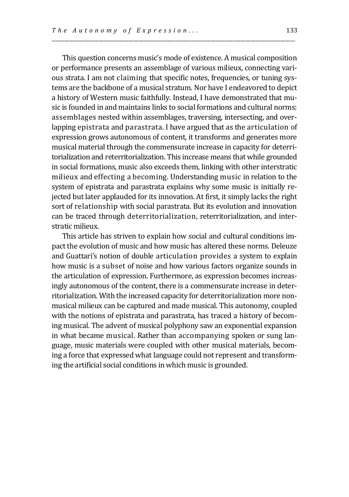This question concerns music's mode of existence. A musical composition or performance presents an assemblage of various milieux, connecting various strata. I am not claiming that specific notes, frequencies, or tuning systems are the backbone of a musical stratum. Nor have I endeavored to depict a history of Western music faithfully. Instead, I have demonstrated that music is founded in and maintains links to social formations and cultural norms: assemblages nested within assemblages, traversing, intersecting, and overlapping epistrata and parastrata. I have argued that as the articulation of expression grows autonomous of content, it transforms and generates more musical material through the commensurate increase in capacity for deterritorialization and reterritorialization. This increase means that while grounded in social formations, music also exceeds them, linking with other interstratic milieux and effecting a becoming. Understanding music in relation to the system of epistrata and parastrata explains why some music is initially rejected but later applauded for its innovation. At first, it simply lacks the right sort of relationship with social parastrata. But its evolution and innovation can be traced through deterritorialization, reterritorialization, and interstratic milieux.

\_\_\_\_\_\_\_\_\_\_\_\_\_\_\_\_\_\_\_\_\_\_\_\_\_\_\_\_\_\_\_\_\_\_\_\_\_\_\_\_\_\_\_\_\_\_\_\_\_\_\_\_\_\_\_\_\_\_\_\_\_\_\_\_\_\_\_\_\_\_\_\_\_\_\_\_\_\_\_\_\_\_\_\_\_\_\_\_\_\_\_\_\_\_\_\_\_\_

This article has striven to explain how social and cultural conditions impact the evolution of music and how music has altered these norms. Deleuze and Guattari's notion of double articulation provides a system to explain how music is a subset of noise and how various factors organize sounds in the articulation of expression. Furthermore, as expression becomes increasingly autonomous of the content, there is a commensurate increase in deterritorialization. With the increased capacity for deterritorialization more nonmusical milieux can be captured and made musical. This autonomy, coupled with the notions of epistrata and parastrata, has traced a history of becoming musical. The advent of musical polyphony saw an exponential expansion in what became musical. Rather than accompanying spoken or sung language, music materials were coupled with other musical materials, becoming a force that expressed what language could not represent and transforming the artificial social conditions in which music is grounded.